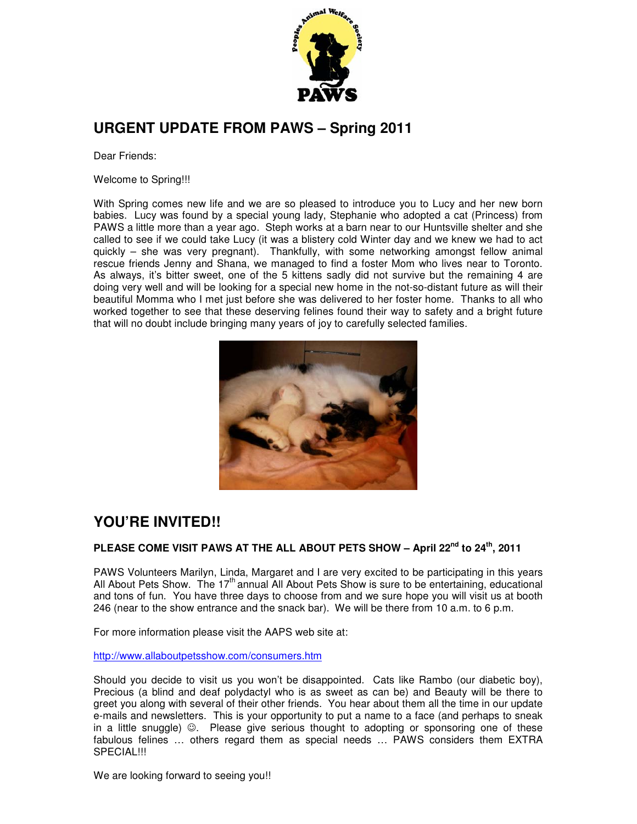

## **URGENT UPDATE FROM PAWS – Spring 2011**

Dear Friends:

Welcome to Spring!!!

With Spring comes new life and we are so pleased to introduce you to Lucy and her new born babies. Lucy was found by a special young lady, Stephanie who adopted a cat (Princess) from PAWS a little more than a year ago. Steph works at a barn near to our Huntsville shelter and she called to see if we could take Lucy (it was a blistery cold Winter day and we knew we had to act quickly – she was very pregnant). Thankfully, with some networking amongst fellow animal rescue friends Jenny and Shana, we managed to find a foster Mom who lives near to Toronto. As always, it's bitter sweet, one of the 5 kittens sadly did not survive but the remaining 4 are doing very well and will be looking for a special new home in the not-so-distant future as will their beautiful Momma who I met just before she was delivered to her foster home. Thanks to all who worked together to see that these deserving felines found their way to safety and a bright future that will no doubt include bringing many years of joy to carefully selected families.



# **YOU'RE INVITED!!**

#### **PLEASE COME VISIT PAWS AT THE ALL ABOUT PETS SHOW – April 22nd to 24th, 2011**

PAWS Volunteers Marilyn, Linda, Margaret and I are very excited to be participating in this years All About Pets Show. The  $17<sup>th</sup>$  annual All About Pets Show is sure to be entertaining, educational and tons of fun. You have three days to choose from and we sure hope you will visit us at booth 246 (near to the show entrance and the snack bar). We will be there from 10 a.m. to 6 p.m.

For more information please visit the AAPS web site at:

http://www.allaboutpetsshow.com/consumers.htm

Should you decide to visit us you won't be disappointed. Cats like Rambo (our diabetic boy), Precious (a blind and deaf polydactyl who is as sweet as can be) and Beauty will be there to greet you along with several of their other friends. You hear about them all the time in our update e-mails and newsletters. This is your opportunity to put a name to a face (and perhaps to sneak in a little snuggle) ☺. Please give serious thought to adopting or sponsoring one of these fabulous felines … others regard them as special needs … PAWS considers them EXTRA SPECIAL!!!

We are looking forward to seeing you!!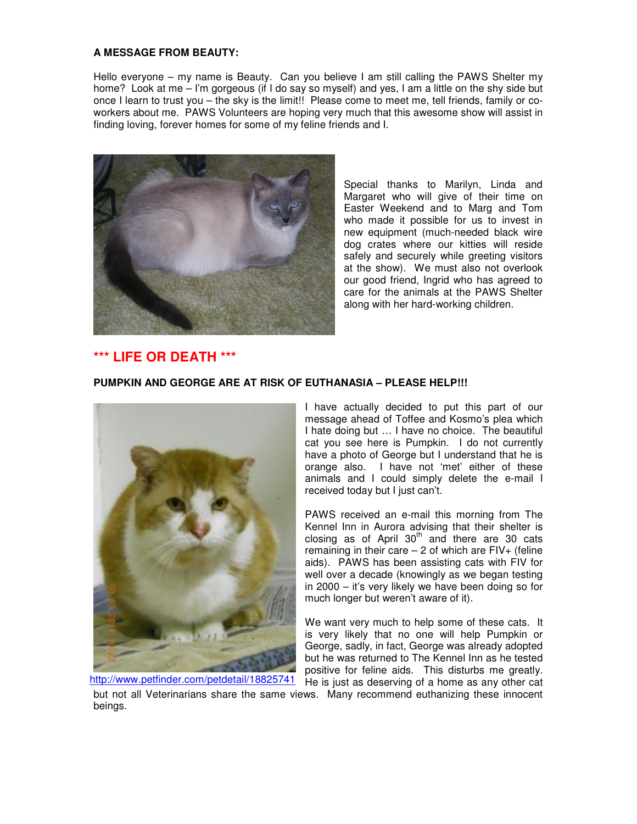#### **A MESSAGE FROM BEAUTY:**

Hello everyone – my name is Beauty. Can you believe I am still calling the PAWS Shelter my home? Look at me – I'm gorgeous (if I do say so myself) and yes, I am a little on the shy side but once I learn to trust you – the sky is the limit!! Please come to meet me, tell friends, family or coworkers about me. PAWS Volunteers are hoping very much that this awesome show will assist in finding loving, forever homes for some of my feline friends and I.



Special thanks to Marilyn, Linda and Margaret who will give of their time on Easter Weekend and to Marg and Tom who made it possible for us to invest in new equipment (much-needed black wire dog crates where our kitties will reside safely and securely while greeting visitors at the show). We must also not overlook our good friend, Ingrid who has agreed to care for the animals at the PAWS Shelter along with her hard-working children.

#### **\*\*\* LIFE OR DEATH \*\*\***

#### **PUMPKIN AND GEORGE ARE AT RISK OF EUTHANASIA – PLEASE HELP!!!**



beings. http://www.petfinder.com/petdetail/18825741

I have actually decided to put this part of our message ahead of Toffee and Kosmo's plea which I hate doing but … I have no choice. The beautiful cat you see here is Pumpkin. I do not currently have a photo of George but I understand that he is orange also. I have not 'met' either of these animals and I could simply delete the e-mail I received today but I just can't.

PAWS received an e-mail this morning from The Kennel Inn in Aurora advising that their shelter is closing as of April  $30<sup>th</sup>$  and there are 30 cats remaining in their care  $-2$  of which are  $FIV+$  (feline aids). PAWS has been assisting cats with FIV for well over a decade (knowingly as we began testing in 2000 – it's very likely we have been doing so for much longer but weren't aware of it).

We want very much to help some of these cats. It is very likely that no one will help Pumpkin or George, sadly, in fact, George was already adopted but he was returned to The Kennel Inn as he tested positive for feline aids. This disturbs me greatly. He is just as deserving of a home as any other cat but not all Veterinarians share the same views. Many recommend euthanizing these innocent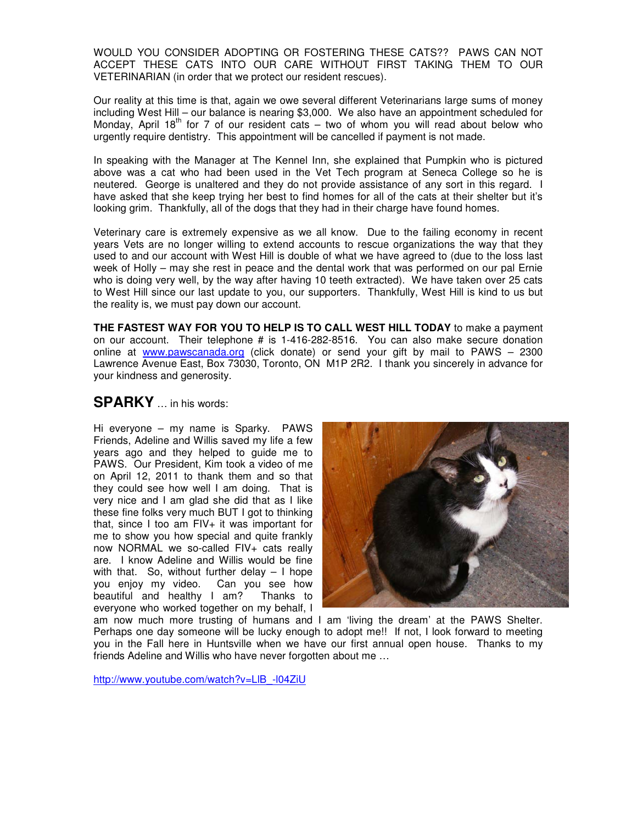WOULD YOU CONSIDER ADOPTING OR FOSTERING THESE CATS?? PAWS CAN NOT ACCEPT THESE CATS INTO OUR CARE WITHOUT FIRST TAKING THEM TO OUR VETERINARIAN (in order that we protect our resident rescues).

Our reality at this time is that, again we owe several different Veterinarians large sums of money including West Hill – our balance is nearing \$3,000. We also have an appointment scheduled for Monday, April 18<sup>th</sup> for 7 of our resident cats – two of whom you will read about below who urgently require dentistry. This appointment will be cancelled if payment is not made.

In speaking with the Manager at The Kennel Inn, she explained that Pumpkin who is pictured above was a cat who had been used in the Vet Tech program at Seneca College so he is neutered. George is unaltered and they do not provide assistance of any sort in this regard. I have asked that she keep trying her best to find homes for all of the cats at their shelter but it's looking grim. Thankfully, all of the dogs that they had in their charge have found homes.

Veterinary care is extremely expensive as we all know. Due to the failing economy in recent years Vets are no longer willing to extend accounts to rescue organizations the way that they used to and our account with West Hill is double of what we have agreed to (due to the loss last week of Holly – may she rest in peace and the dental work that was performed on our pal Ernie who is doing very well, by the way after having 10 teeth extracted). We have taken over 25 cats to West Hill since our last update to you, our supporters. Thankfully, West Hill is kind to us but the reality is, we must pay down our account.

**THE FASTEST WAY FOR YOU TO HELP IS TO CALL WEST HILL TODAY** to make a payment on our account. Their telephone # is 1-416-282-8516. You can also make secure donation online at www.pawscanada.org (click donate) or send your gift by mail to PAWS - 2300 Lawrence Avenue East, Box 73030, Toronto, ON M1P 2R2. I thank you sincerely in advance for your kindness and generosity.

### **SPARKY** … in his words:

Hi everyone – my name is Sparky. PAWS Friends, Adeline and Willis saved my life a few years ago and they helped to guide me to PAWS. Our President, Kim took a video of me on April 12, 2011 to thank them and so that they could see how well I am doing. That is very nice and I am glad she did that as I like these fine folks very much BUT I got to thinking that, since I too am  $FIV+$  it was important for me to show you how special and quite frankly now NORMAL we so-called FIV+ cats really are. I know Adeline and Willis would be fine with that. So, without further delay – I hope you enjoy my video. Can you see how beautiful and healthy I am? Thanks to everyone who worked together on my behalf, I



am now much more trusting of humans and I am 'living the dream' at the PAWS Shelter. Perhaps one day someone will be lucky enough to adopt me!! If not, I look forward to meeting you in the Fall here in Huntsville when we have our first annual open house. Thanks to my friends Adeline and Willis who have never forgotten about me …

http://www.youtube.com/watch?v=LlB\_-l04ZiU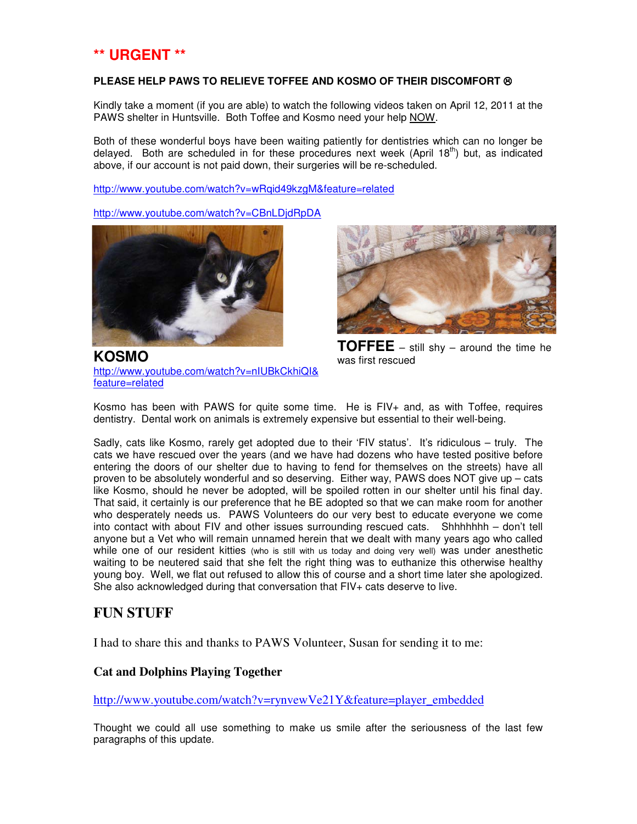## **\*\* URGENT \*\***

#### **PLEASE HELP PAWS TO RELIEVE TOFFEE AND KOSMO OF THEIR DISCOMFORT**  $\otimes$

Kindly take a moment (if you are able) to watch the following videos taken on April 12, 2011 at the PAWS shelter in Huntsville. Both Toffee and Kosmo need your help NOW.

Both of these wonderful boys have been waiting patiently for dentistries which can no longer be delayed. Both are scheduled in for these procedures next week (April  $18<sup>th</sup>$ ) but, as indicated above, if our account is not paid down, their surgeries will be re-scheduled.

http://www.youtube.com/watch?v=wRqid49kzgM&feature=related

http://www.youtube.com/watch?v=CBnLDjdRpDA



**KOSMO**  http://www.youtube.com/watch?v=nIUBkCkhiQI& feature=related



**TOFFEE** – still shy – around the time he was first rescued

Kosmo has been with PAWS for quite some time. He is FIV+ and, as with Toffee, requires dentistry. Dental work on animals is extremely expensive but essential to their well-being.

Sadly, cats like Kosmo, rarely get adopted due to their 'FIV status'. It's ridiculous – truly. The cats we have rescued over the years (and we have had dozens who have tested positive before entering the doors of our shelter due to having to fend for themselves on the streets) have all proven to be absolutely wonderful and so deserving. Either way, PAWS does NOT give up – cats like Kosmo, should he never be adopted, will be spoiled rotten in our shelter until his final day. That said, it certainly is our preference that he BE adopted so that we can make room for another who desperately needs us. PAWS Volunteers do our very best to educate everyone we come into contact with about FIV and other issues surrounding rescued cats. Shhhhhhh – don't tell anyone but a Vet who will remain unnamed herein that we dealt with many years ago who called while one of our resident kitties (who is still with us today and doing very well) was under anesthetic waiting to be neutered said that she felt the right thing was to euthanize this otherwise healthy young boy. Well, we flat out refused to allow this of course and a short time later she apologized. She also acknowledged during that conversation that FIV+ cats deserve to live.

### **FUN STUFF**

I had to share this and thanks to PAWS Volunteer, Susan for sending it to me:

#### **Cat and Dolphins Playing Together**

http://www.youtube.com/watch?v=rynvewVe21Y&feature=player\_embedded

Thought we could all use something to make us smile after the seriousness of the last few paragraphs of this update.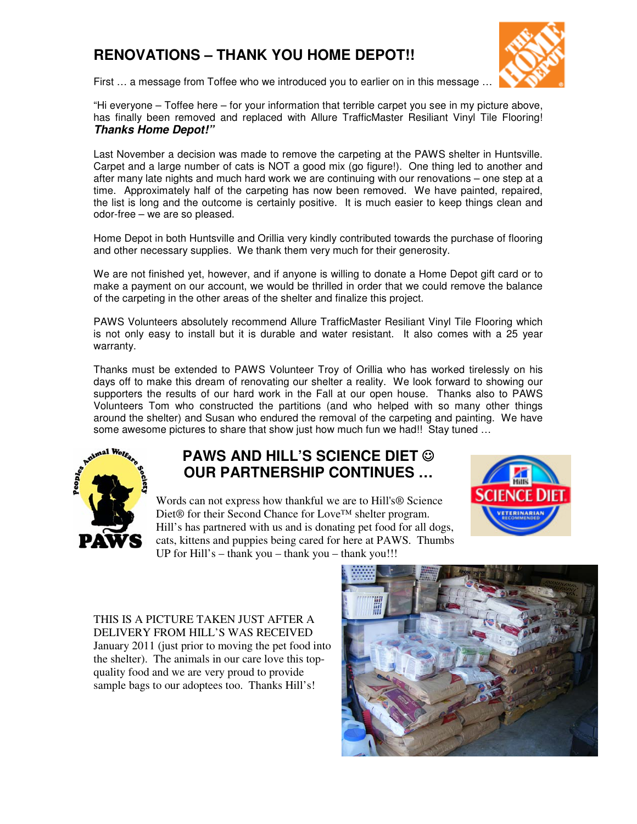# **RENOVATIONS – THANK YOU HOME DEPOT!!**



First … a message from Toffee who we introduced you to earlier on in this message …

"Hi everyone – Toffee here – for your information that terrible carpet you see in my picture above, has finally been removed and replaced with Allure TrafficMaster Resiliant Vinyl Tile Flooring! **Thanks Home Depot!"**

Last November a decision was made to remove the carpeting at the PAWS shelter in Huntsville. Carpet and a large number of cats is NOT a good mix (go figure!). One thing led to another and after many late nights and much hard work we are continuing with our renovations – one step at a time. Approximately half of the carpeting has now been removed. We have painted, repaired, the list is long and the outcome is certainly positive. It is much easier to keep things clean and odor-free – we are so pleased.

Home Depot in both Huntsville and Orillia very kindly contributed towards the purchase of flooring and other necessary supplies. We thank them very much for their generosity.

We are not finished yet, however, and if anyone is willing to donate a Home Depot gift card or to make a payment on our account, we would be thrilled in order that we could remove the balance of the carpeting in the other areas of the shelter and finalize this project.

PAWS Volunteers absolutely recommend Allure TrafficMaster Resiliant Vinyl Tile Flooring which is not only easy to install but it is durable and water resistant. It also comes with a 25 year warranty.

Thanks must be extended to PAWS Volunteer Troy of Orillia who has worked tirelessly on his days off to make this dream of renovating our shelter a reality. We look forward to showing our supporters the results of our hard work in the Fall at our open house. Thanks also to PAWS Volunteers Tom who constructed the partitions (and who helped with so many other things around the shelter) and Susan who endured the removal of the carpeting and painting. We have some awesome pictures to share that show just how much fun we had!! Stay tuned ...



## **PAWS AND HILL'S SCIENCE DIET** ☺ **OUR PARTNERSHIP CONTINUES …**

Words can not express how thankful we are to Hill's® Science Diet® for their Second Chance for Love™ shelter program. Hill's has partnered with us and is donating pet food for all dogs, cats, kittens and puppies being cared for here at PAWS. Thumbs UP for Hill's – thank you – thank you – thank you!!!



THIS IS A PICTURE TAKEN JUST AFTER A DELIVERY FROM HILL'S WAS RECEIVED January 2011 (just prior to moving the pet food into the shelter). The animals in our care love this topquality food and we are very proud to provide sample bags to our adoptees too. Thanks Hill's!

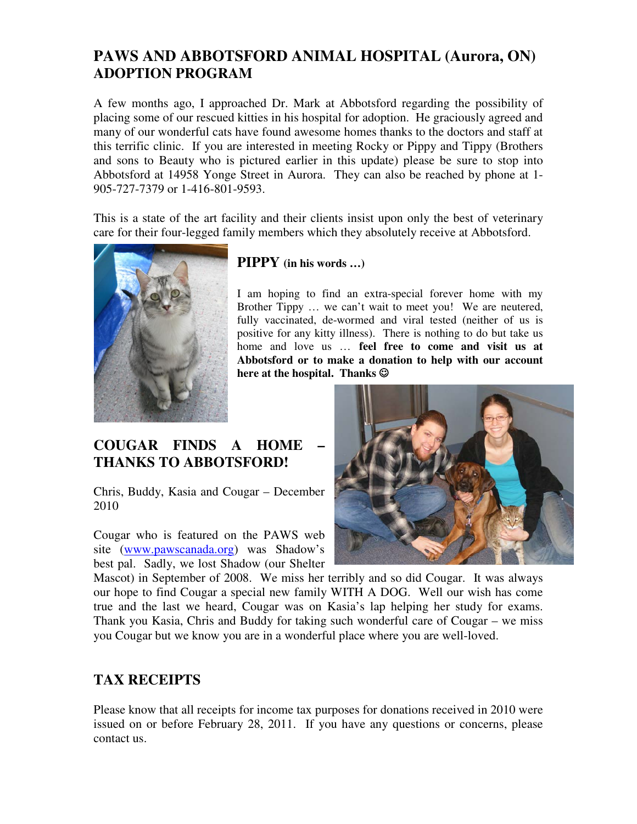## **PAWS AND ABBOTSFORD ANIMAL HOSPITAL (Aurora, ON) ADOPTION PROGRAM**

A few months ago, I approached Dr. Mark at Abbotsford regarding the possibility of placing some of our rescued kitties in his hospital for adoption. He graciously agreed and many of our wonderful cats have found awesome homes thanks to the doctors and staff at this terrific clinic. If you are interested in meeting Rocky or Pippy and Tippy (Brothers and sons to Beauty who is pictured earlier in this update) please be sure to stop into Abbotsford at 14958 Yonge Street in Aurora. They can also be reached by phone at 1- 905-727-7379 or 1-416-801-9593.

This is a state of the art facility and their clients insist upon only the best of veterinary care for their four-legged family members which they absolutely receive at Abbotsford.



### **PIPPY (in his words …)**

I am hoping to find an extra-special forever home with my Brother Tippy … we can't wait to meet you! We are neutered, fully vaccinated, de-wormed and viral tested (neither of us is positive for any kitty illness). There is nothing to do but take us home and love us … **feel free to come and visit us at Abbotsford or to make a donation to help with our account here at the hospital. Thanks** ☺

# **COUGAR FINDS A HOME THANKS TO ABBOTSFORD!**

Chris, Buddy, Kasia and Cougar – December 2010

Cougar who is featured on the PAWS web site (www.pawscanada.org) was Shadow's best pal. Sadly, we lost Shadow (our Shelter



Mascot) in September of 2008. We miss her terribly and so did Cougar. It was always our hope to find Cougar a special new family WITH A DOG. Well our wish has come true and the last we heard, Cougar was on Kasia's lap helping her study for exams. Thank you Kasia, Chris and Buddy for taking such wonderful care of Cougar – we miss you Cougar but we know you are in a wonderful place where you are well-loved.

# **TAX RECEIPTS**

Please know that all receipts for income tax purposes for donations received in 2010 were issued on or before February 28, 2011. If you have any questions or concerns, please contact us.